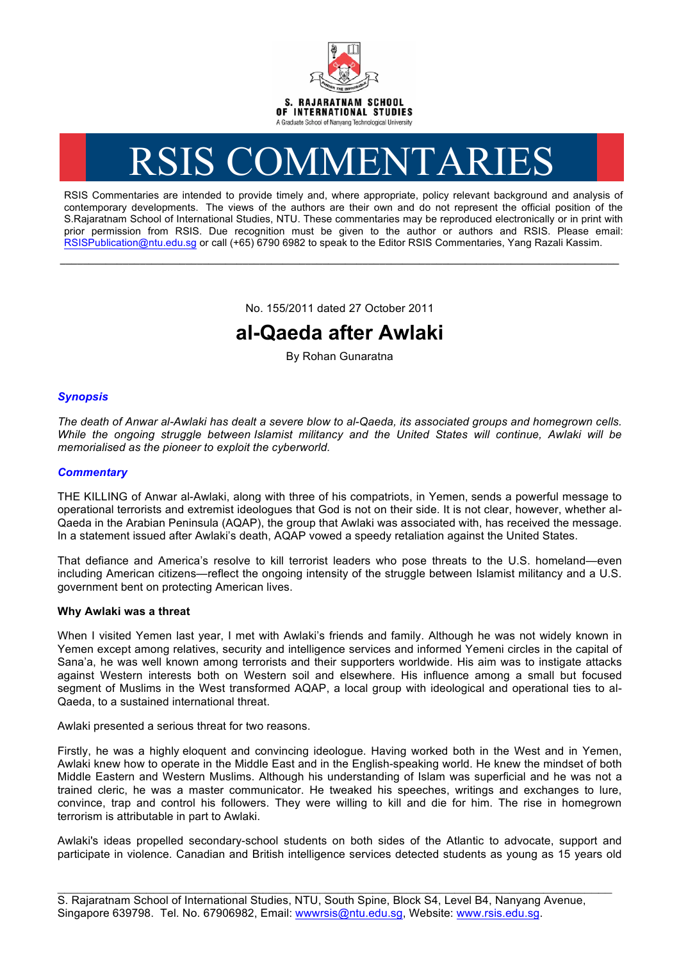

# RSIS COMMENTARIES

RSIS Commentaries are intended to provide timely and, where appropriate, policy relevant background and analysis of contemporary developments. The views of the authors are their own and do not represent the official position of the S.Rajaratnam School of International Studies, NTU. These commentaries may be reproduced electronically or in print with prior permission from RSIS. Due recognition must be given to the author or authors and RSIS. Please email: RSISPublication@ntu.edu.sg or call (+65) 6790 6982 to speak to the Editor RSIS Commentaries, Yang Razali Kassim.

No. 155/2011 dated 27 October 2011

**\_\_\_\_\_\_\_\_\_\_\_\_\_\_\_\_\_\_\_\_\_\_\_\_\_\_\_\_\_\_\_\_\_\_\_\_\_\_\_\_\_\_\_\_\_\_\_\_\_\_\_\_\_\_\_\_\_\_\_\_\_\_\_\_\_\_\_\_\_\_\_\_\_\_\_\_\_\_\_\_\_\_\_\_\_\_\_\_\_\_\_\_\_\_\_\_\_\_**

# **al-Qaeda after Awlaki**

By Rohan Gunaratna

# *Synopsis*

*The death of Anwar al-Awlaki has dealt a severe blow to al-Qaeda, its associated groups and homegrown cells. While the ongoing struggle between Islamist militancy and the United States will continue, Awlaki will be memorialised as the pioneer to exploit the cyberworld.*

# *Commentary*

THE KILLING of Anwar al-Awlaki, along with three of his compatriots, in Yemen, sends a powerful message to operational terrorists and extremist ideologues that God is not on their side. It is not clear, however, whether al-Qaeda in the Arabian Peninsula (AQAP), the group that Awlaki was associated with, has received the message. In a statement issued after Awlaki's death, AQAP vowed a speedy retaliation against the United States.

That defiance and America's resolve to kill terrorist leaders who pose threats to the U.S. homeland—even including American citizens—reflect the ongoing intensity of the struggle between Islamist militancy and a U.S. government bent on protecting American lives.

### **Why Awlaki was a threat**

When I visited Yemen last year, I met with Awlaki's friends and family. Although he was not widely known in Yemen except among relatives, security and intelligence services and informed Yemeni circles in the capital of Sana'a, he was well known among terrorists and their supporters worldwide. His aim was to instigate attacks against Western interests both on Western soil and elsewhere. His influence among a small but focused segment of Muslims in the West transformed AQAP, a local group with ideological and operational ties to al-Qaeda, to a sustained international threat.

Awlaki presented a serious threat for two reasons.

Firstly, he was a highly eloquent and convincing ideologue. Having worked both in the West and in Yemen, Awlaki knew how to operate in the Middle East and in the English-speaking world. He knew the mindset of both Middle Eastern and Western Muslims. Although his understanding of Islam was superficial and he was not a trained cleric, he was a master communicator. He tweaked his speeches, writings and exchanges to lure, convince, trap and control his followers. They were willing to kill and die for him. The rise in homegrown terrorism is attributable in part to Awlaki.

Awlaki's ideas propelled secondary-school students on both sides of the Atlantic to advocate, support and participate in violence. Canadian and British intelligence services detected students as young as 15 years old